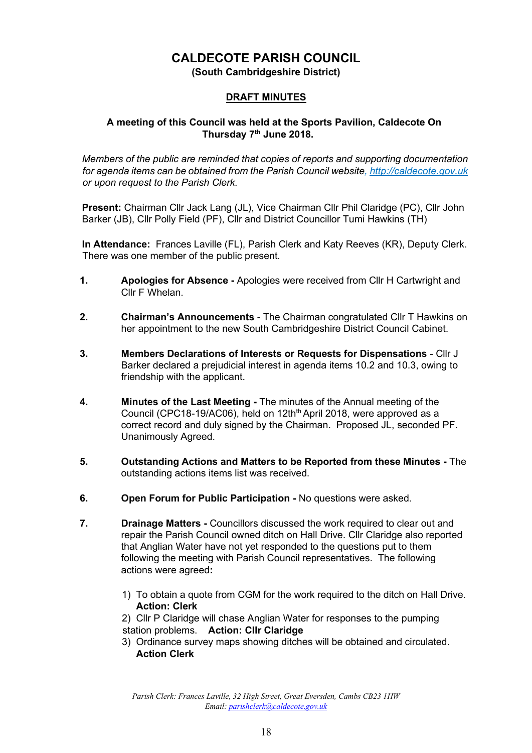# **CALDECOTE PARISH COUNCIL**

**(South Cambridgeshire District)** 

# **DRAFT MINUTES**

## **A meeting of this Council was held at the Sports Pavilion, Caldecote On Thursday 7th June 2018.**

*Members of the public are reminded that copies of reports and supporting documentation for agenda items can be obtained from the Parish Council website[, http://caldecote.gov.uk](http://caldecote.gov.uk/) or upon request to the Parish Clerk.* 

**Present:** Chairman Cllr Jack Lang (JL), Vice Chairman Cllr Phil Claridge (PC), Cllr John Barker (JB), Cllr Polly Field (PF), Cllr and District Councillor Tumi Hawkins (TH)

**In Attendance:** Frances Laville (FL), Parish Clerk and Katy Reeves (KR), Deputy Clerk. There was one member of the public present.

- **1. Apologies for Absence -** Apologies were received from Cllr H Cartwright and Cllr F Whelan.
- **2. Chairman's Announcements** The Chairman congratulated Cllr T Hawkins on her appointment to the new South Cambridgeshire District Council Cabinet.
- **3. Members Declarations of Interests or Requests for Dispensations** Cllr J Barker declared a prejudicial interest in agenda items 10.2 and 10.3, owing to friendship with the applicant.
- **4. Minutes of the Last Meeting -** The minutes of the Annual meeting of the Council (CPC18-19/AC06), held on 12th<sup>th</sup> April 2018, were approved as a correct record and duly signed by the Chairman. Proposed JL, seconded PF. Unanimously Agreed.
- **5. Outstanding Actions and Matters to be Reported from these Minutes -** The outstanding actions items list was received.
- **6. Open Forum for Public Participation -** No questions were asked.
- **7. Drainage Matters -** Councillors discussed the work required to clear out and repair the Parish Council owned ditch on Hall Drive. Cllr Claridge also reported that Anglian Water have not yet responded to the questions put to them following the meeting with Parish Council representatives. The following actions were agreed**:** 
	- 1) To obtain a quote from CGM for the work required to the ditch on Hall Drive. **Action: Clerk**

2) Cllr P Claridge will chase Anglian Water for responses to the pumping station problems. **Action: Cllr Claridge** 

3) Ordinance survey maps showing ditches will be obtained and circulated. **Action Clerk**

*Parish Clerk: Frances Laville, 32 High Street, Great Eversden, Cambs CB23 1HW Email: parishclerk@caldecote.gov.uk*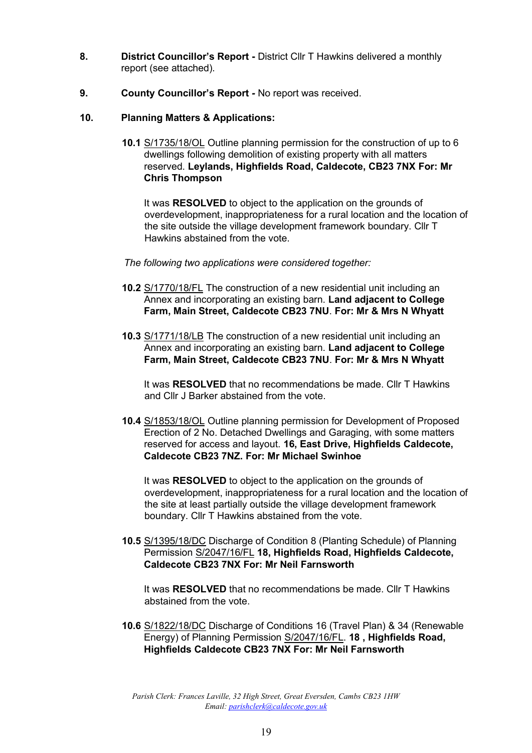- **8. District Councillor's Report -** District Cllr T Hawkins delivered a monthly report (see attached).
- **9. County Councillor's Report** *-* No report was received.
- **10. Planning Matters & Applications:**
	- **10.1** [S/1735/18/OL](http://plan.scambs.gov.uk/swiftlg/apas/run/WPHAPPDETAIL.DisplayUrl?theApnID=S/1735/18/OL&backURL=%3Ca%20href=wphappcriteria.display?paSearchKey=1579448%3ESearch%20Criteria%3C/a%3E%20%3E%20%3Ca%20href=%27wphappsearchres.displayResultsURL?ResultID=2112668%26StartIndex=1%26SortOrder=rgndat:desc%26DispResultsAs=WPHAPPSEARCHRES%26BackURL=%3Ca%20href=wphappcriteria.display?paSearchKey=1579448%3ESearch%20Criteria%3C/a%3E%27%3ESearch%20Results%3C/a%3E) Outline planning permission for the construction of up to 6 dwellings following demolition of existing property with all matters reserved. **Leylands, Highfields Road, Caldecote, CB23 7NX For: Mr Chris Thompson**

It was **RESOLVED** to object to the application on the grounds of overdevelopment, inappropriateness for a rural location and the location of the site outside the village development framework boundary. Cllr T Hawkins abstained from the vote.

- *The following two applications were considered together:*
- **10.2** [S/1770/18/FL](http://plan.scambs.gov.uk/swiftlg/apas/run/WPHAPPDETAIL.DisplayUrl?theApnID=S/1770/18/FL&backURL=%3Ca%20href=wphappcriteria.display?paSearchKey=1579448%3ESearch%20Criteria%3C/a%3E%20%3E%20%3Ca%20href=%27wphappsearchres.displayResultsURL?ResultID=2112668%26StartIndex=1%26SortOrder=rgndat:desc%26DispResultsAs=WPHAPPSEARCHRES%26BackURL=%3Ca%20href=wphappcriteria.display?paSearchKey=1579448%3ESearch%20Criteria%3C/a%3E%27%3ESearch%20Results%3C/a%3E) The construction of a new residential unit including an Annex and incorporating an existing barn. **Land adjacent to College Farm, Main Street, Caldecote CB23 7NU**. **For: Mr & Mrs N Whyatt**
- **10.3** [S/1771/18/LB](http://plan.scambs.gov.uk/swiftlg/apas/run/WPHAPPDETAIL.DisplayUrl?theApnID=S/1771/18/LB&backURL=%3Ca%20href=wphappcriteria.display?paSearchKey=1579448%3ESearch%20Criteria%3C/a%3E%20%3E%20%3Ca%20href=%27wphappsearchres.displayResultsURL?ResultID=2112668%26StartIndex=1%26SortOrder=rgndat:desc%26DispResultsAs=WPHAPPSEARCHRES%26BackURL=%3Ca%20href=wphappcriteria.display?paSearchKey=1579448%3ESearch%20Criteria%3C/a%3E%27%3ESearch%20Results%3C/a%3E) The construction of a new residential unit including an Annex and incorporating an existing barn. **Land adjacent to College Farm, Main Street, Caldecote CB23 7NU**. **For: Mr & Mrs N Whyatt**

It was **RESOLVED** that no recommendations be made. Cllr T Hawkins and Cllr J Barker abstained from the vote.

**10.4** [S/1853/18/OL](http://plan.scambs.gov.uk/swiftlg/apas/run/WPHAPPDETAIL.DisplayUrl?theApnID=S/1853/18/OL&backURL=%3Ca%20href=wphappcriteria.display?paSearchKey=1579448%3ESearch%20Criteria%3C/a%3E%20%3E%20%3Ca%20href=%27wphappsearchres.displayResultsURL?ResultID=2112668%26StartIndex=1%26SortOrder=rgndat:desc%26DispResultsAs=WPHAPPSEARCHRES%26BackURL=%3Ca%20href=wphappcriteria.display?paSearchKey=1579448%3ESearch%20Criteria%3C/a%3E%27%3ESearch%20Results%3C/a%3E) Outline planning permission for Development of Proposed Erection of 2 No. Detached Dwellings and Garaging, with some matters reserved for access and layout. **16, East Drive, Highfields Caldecote, Caldecote CB23 7NZ. For: Mr Michael Swinhoe** 

It was **RESOLVED** to object to the application on the grounds of overdevelopment, inappropriateness for a rural location and the location of the site at least partially outside the village development framework boundary. Cllr T Hawkins abstained from the vote.

**10.5** [S/1395/18/DC](http://plan.scambs.gov.uk/swiftlg/apas/run/WPHAPPDETAIL.DisplayUrl?theApnID=S/1395/18/DC&theTabNo=3&backURL=%3Ca%20href=wphappcriteria.display?paSearchKey=1579448%3ESearch%20Criteria%3C/a%3E%20%3E%20%3Ca%20href=%27wphappsearchres.displayResultsURL?ResultID=2112668%26StartIndex=1%26SortOrder=rgndat:desc%26DispResultsAs=WPHAPPSEARCHRES%26BackURL=%3Ca%20href=wphappcriteria.display?paSearchKey=1579448%3ESearch%20Criteria%3C/a%3E%27%3ESearch%20Results%3C/a%3E) Discharge of Condition 8 (Planting Schedule) of Planning Permission [S/2047/16/FL](http://plan.scambs.gov.uk/swiftlg/apas/run/WPHAPPDETAIL.DisplayUrl?theApnID=S/2047/16/FL) **[1](http://plan.scambs.gov.uk/swiftlg/apas/run/WPHAPPDETAIL.DisplayUrl?theApnID=S/2047/16/FL)8, Highfields Road, Highfields Caldecote, Caldecote CB23 7NX For: Mr Neil Farnsworth** 

It was **RESOLVED** that no recommendations be made. Cllr T Hawkins abstained from the vote.

**10.6** [S/1822/18/DC](http://plan.scambs.gov.uk/swiftlg/apas/run/WPHAPPDETAIL.DisplayUrl?theApnID=S/1822/18/DC&backURL=%3Ca%20href=wphappcriteria.display?paSearchKey=1581416%3ESearch%20Criteria%3C/a%3E%20%3E%20%3Ca%20href=%27wphappsearchres.displayResultsURL?ResultID=2115341%26StartIndex=1%26SortOrder=rgndat:desc%26DispResultsAs=WPHAPPSEARCHRES%26BackURL=%3Ca%20href=wphappcriteria.display?paSearchKey=1581416%3ESearch%20Criteria%3C/a%3E%27%3ESearch%20Results%3C/a%3E) Discharge of Conditions 16 (Travel Plan) & 34 (Renewable Energy) of Planning Permission [S/2047/16/FL.](http://plan.scambs.gov.uk/swiftlg/apas/run/WPHAPPDETAIL.DisplayUrl?theApnID=S/2047/16/FL) **18 , Highfields Road, Highfields Caldecote CB23 7NX For: Mr Neil Farnsworth** 

*Parish Clerk: Frances Laville, 32 High Street, Great Eversden, Cambs CB23 1HW Email: parishclerk@caldecote.gov.uk*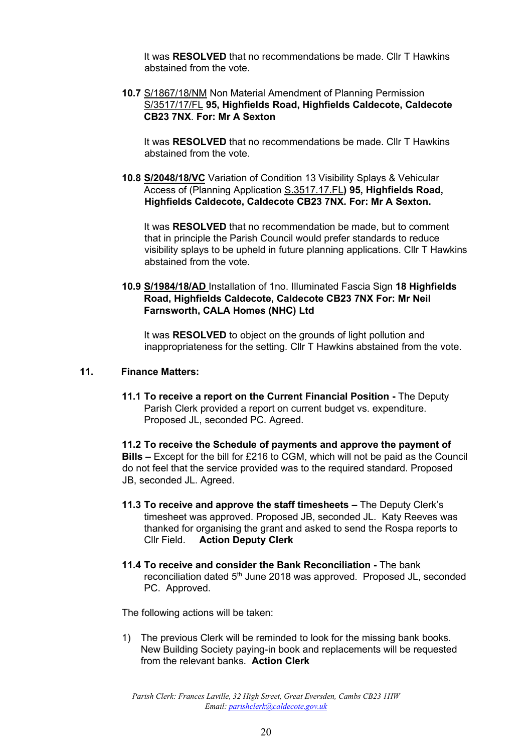It was **RESOLVED** that no recommendations be made. Cllr T Hawkins abstained from the vote.

**10.7** [S/1867/18/NM](http://plan.scambs.gov.uk/swiftlg/apas/run/WPHAPPDETAIL.DisplayUrl?theApnID=S/1867/18/NM&backURL=%3Ca%20href=wphappcriteria.display?paSearchKey=1581410%3ESearch%20Criteria%3C/a%3E%20%3E%20%3Ca%20href=%27wphappsearchres.displayResultsURL?ResultID=2115332%26StartIndex=1%26SortOrder=rgndat:desc%26DispResultsAs=WPHAPPSEARCHRES%26BackURL=%3Ca%20href=wphappcriteria.display?paSearchKey=1581410%3ESearch%20Criteria%3C/a%3E%27%3ESearch%20Results%3C/a%3E) Non Material Amendment of Planning Permission [S/3517/17/FL](http://plan.scambs.gov.uk/swiftlg/apas/run/WPHAPPDETAIL.DisplayUrl?theApnID=S/3517/17/FL&backURL=%3Ca%20href=wphappcriteria.display?paSearchKey=1581413%3ESearch%20Criteria%3C/a%3E%20%3E%20%3Ca%20href=%27wphappsearchres.displayResultsURL?ResultID=2115337%26StartIndex=1%26SortOrder=rgndat:desc%26DispResultsAs=WPHAPPSEARCHRES%26BackURL=%3Ca%20href=wphappcriteria.display?paSearchKey=1581413%3ESearch%20Criteria%3C/a%3E%27%3ESearch%20Results%3C/a%3E) **95, Highfields Road, Highfields Caldecote, Caldecote CB23 7NX**. **For: Mr A Sexton** 

It was **RESOLVED** that no recommendations be made. Cllr T Hawkins abstained from the vote.

**10.8 S/2048/18/VC** Variation of Condition 13 Visibility Splays & Vehicular Access of (Planning Application S.3517.17.FL**) 95, Highfields Road, Highfields Caldecote, Caldecote CB23 7NX. For: Mr A Sexton.** 

It was **RESOLVED** that no recommendation be made, but to comment that in principle the Parish Council would prefer standards to reduce visibility splays to be upheld in future planning applications. Cllr T Hawkins abstained from the vote.

**10.9 S/1984/18/AD** Installation of 1no. Illuminated Fascia Sign **18 Highfields Road, Highfields Caldecote, Caldecote CB23 7NX For: Mr Neil Farnsworth, CALA Homes (NHC) Ltd** 

It was **RESOLVED** to object on the grounds of light pollution and inappropriateness for the setting. Cllr T Hawkins abstained from the vote.

#### **11. Finance Matters:**

**11.1 To receive a report on the Current Financial Position -** The Deputy Parish Clerk provided a report on current budget vs. expenditure. Proposed JL, seconded PC. Agreed.

**11.2 To receive the Schedule of payments and approve the payment of Bills –** Except for the bill for £216 to CGM, which will not be paid as the Council do not feel that the service provided was to the required standard. Proposed JB, seconded JL. Agreed.

- **11.3 To receive and approve the staff timesheets –** The Deputy Clerk's timesheet was approved. Proposed JB, seconded JL. Katy Reeves was thanked for organising the grant and asked to send the Rospa reports to Cllr Field. **Action Deputy Clerk**
- **11.4 To receive and consider the Bank Reconciliation -** The bank reconciliation dated 5<sup>th</sup> June 2018 was approved. Proposed JL, seconded PC. Approved.

The following actions will be taken:

1) The previous Clerk will be reminded to look for the missing bank books. New Building Society paying-in book and replacements will be requested from the relevant banks. **Action Clerk** 

*Parish Clerk: Frances Laville, 32 High Street, Great Eversden, Cambs CB23 1HW Email: parishclerk@caldecote.gov.uk*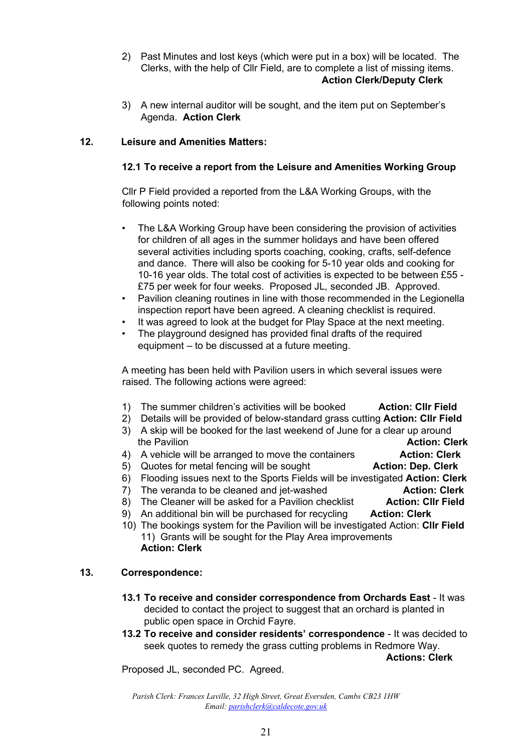- 2) Past Minutes and lost keys (which were put in a box) will be located. The Clerks, with the help of Cllr Field, are to complete a list of missing items. **Action Clerk/Deputy Clerk**
- 3) A new internal auditor will be sought, and the item put on September's Agenda. **Action Clerk**

# **12. Leisure and Amenities Matters:**

# **12.1 To receive a report from the Leisure and Amenities Working Group**

Cllr P Field provided a reported from the L&A Working Groups, with the following points noted:

- The L&A Working Group have been considering the provision of activities for children of all ages in the summer holidays and have been offered several activities including sports coaching, cooking, crafts, self-defence and dance. There will also be cooking for 5-10 year olds and cooking for 10-16 year olds. The total cost of activities is expected to be between £55 - £75 per week for four weeks. Proposed JL, seconded JB. Approved.
- Pavilion cleaning routines in line with those recommended in the Legionella inspection report have been agreed. A cleaning checklist is required.
- It was agreed to look at the budget for Play Space at the next meeting.
- The playground designed has provided final drafts of the required equipment – to be discussed at a future meeting.

A meeting has been held with Pavilion users in which several issues were raised. The following actions were agreed:

- 1) The summer children's activities will be booked **Action: Cllr Field**
- 2) Details will be provided of below-standard grass cutting **Action: Cllr Field**
- 3) A skip will be booked for the last weekend of June for a clear up around **the Pavilion Action: Clerk Action: Clerk**
- 4) A vehicle will be arranged to move the containers **Action: Clerk**
- 5) Quotes for metal fencing will be sought **Action: Dep. Clerk**
- 6) Flooding issues next to the Sports Fields will be investigated **Action: Clerk**
- 7) The veranda to be cleaned and jet-washed **Action: Clerk**
- 8) The Cleaner will be asked for a Pavilion checklist **Action: Cllr Field**
- 9) An additional bin will be purchased for recycling **Action: Clerk**
- 10) The bookings system for the Pavilion will be investigated Action: **Cllr Field** 11) Grants will be sought for the Play Area improvements **Action: Clerk**

### **13. Correspondence:**

- **13.1 To receive and consider correspondence from Orchards East** It was decided to contact the project to suggest that an orchard is planted in public open space in Orchid Fayre.
- **13.2 To receive and consider residents' correspondence**  It was decided to seek quotes to remedy the grass cutting problems in Redmore Way.

**Actions: Clerk** 

Proposed JL, seconded PC. Agreed.

*Parish Clerk: Frances Laville, 32 High Street, Great Eversden, Cambs CB23 1HW Email: parishclerk@caldecote.gov.uk*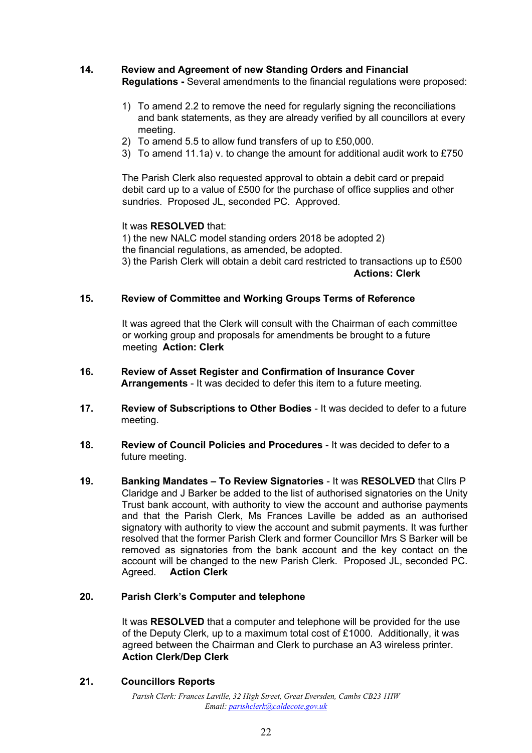# **14. Review and Agreement of new Standing Orders and Financial**

**Regulations -** Several amendments to the financial regulations were proposed:

- 1) To amend 2.2 to remove the need for regularly signing the reconciliations and bank statements, as they are already verified by all councillors at every meeting.
- 2) To amend 5.5 to allow fund transfers of up to £50,000.
- 3) To amend 11.1a) v. to change the amount for additional audit work to £750

The Parish Clerk also requested approval to obtain a debit card or prepaid debit card up to a value of £500 for the purchase of office supplies and other sundries. Proposed JL, seconded PC. Approved.

### It was **RESOLVED** that:

1) the new NALC model standing orders 2018 be adopted 2) the financial regulations, as amended, be adopted. 3) the Parish Clerk will obtain a debit card restricted to transactions up to £500 **Actions: Clerk**

### **15. Review of Committee and Working Groups Terms of Reference**

It was agreed that the Clerk will consult with the Chairman of each committee or working group and proposals for amendments be brought to a future meeting **Action: Clerk** 

- **16. Review of Asset Register and Confirmation of Insurance Cover Arrangements** - It was decided to defer this item to a future meeting.
- **17. Review of Subscriptions to Other Bodies** It was decided to defer to a future meeting.
- **18. Review of Council Policies and Procedures** It was decided to defer to a future meeting.
- **19. Banking Mandates – To Review Signatories** It was **RESOLVED** that Cllrs P Claridge and J Barker be added to the list of authorised signatories on the Unity Trust bank account, with authority to view the account and authorise payments and that the Parish Clerk, Ms Frances Laville be added as an authorised signatory with authority to view the account and submit payments. It was further resolved that the former Parish Clerk and former Councillor Mrs S Barker will be removed as signatories from the bank account and the key contact on the account will be changed to the new Parish Clerk. Proposed JL, seconded PC. Agreed. **Action Clerk**

## **20. Parish Clerk's Computer and telephone**

It was **RESOLVED** that a computer and telephone will be provided for the use of the Deputy Clerk, up to a maximum total cost of £1000. Additionally, it was agreed between the Chairman and Clerk to purchase an A3 wireless printer. **Action Clerk/Dep Clerk**

### **21. Councillors Reports**

*Parish Clerk: Frances Laville, 32 High Street, Great Eversden, Cambs CB23 1HW Email: parishclerk@caldecote.gov.uk*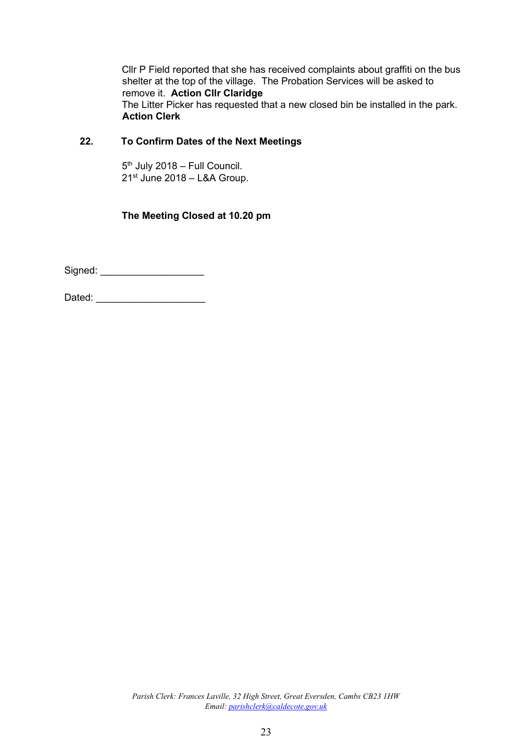Cllr P Field reported that she has received complaints about graffiti on the bus shelter at the top of the village. The Probation Services will be asked to remove it. **Action Cllr Claridge** The Litter Picker has requested that a new closed bin be installed in the park. **Action Clerk**

# **22. To Confirm Dates of the Next Meetings**

5<sup>th</sup> July 2018 – Full Council. 21st June 2018 – L&A Group.

# **The Meeting Closed at 10.20 pm**

Signed: \_\_\_\_\_\_\_\_\_\_\_\_\_\_\_\_\_\_\_

Dated: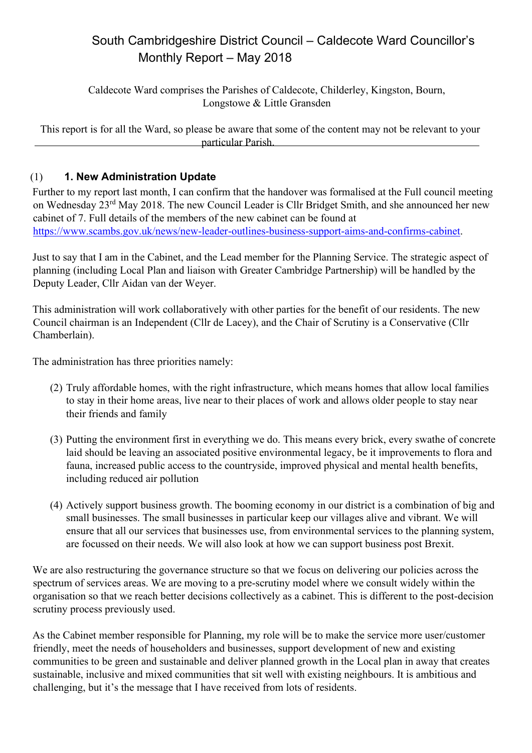# South Cambridgeshire District Council – Caldecote Ward Councillor's Monthly Report – May 2018

Caldecote Ward comprises the Parishes of Caldecote, Childerley, Kingston, Bourn, Longstowe & Little Gransden

This report is for all the Ward, so please be aware that some of the content may not be relevant to your particular Parish.

# (1) **1. New Administration Update**

Further to my report last month, I can confirm that the handover was formalised at the Full council meeting on Wednesday 23rd May 2018. The new Council Leader is Cllr Bridget Smith, and she announced her new cabinet of 7. Full details of the members of the new cabinet can be found at https://www.scambs.gov.uk/news/new-leader-outlines-business-support-aims-and-confirms-cabinet.

Just to say that I am in the Cabinet, and the Lead member for the Planning Service. The strategic aspect of planning (including Local Plan and liaison with Greater Cambridge Partnership) will be handled by the Deputy Leader, Cllr Aidan van der Weyer.

This administration will work collaboratively with other parties for the benefit of our residents. The new Council chairman is an Independent (Cllr de Lacey), and the Chair of Scrutiny is a Conservative (Cllr Chamberlain).

The administration has three priorities namely:

- (2) Truly affordable homes, with the right infrastructure, which means homes that allow local families to stay in their home areas, live near to their places of work and allows older people to stay near their friends and family
- (3) Putting the environment first in everything we do. This means every brick, every swathe of concrete laid should be leaving an associated positive environmental legacy, be it improvements to flora and fauna, increased public access to the countryside, improved physical and mental health benefits, including reduced air pollution
- (4) Actively support business growth. The booming economy in our district is a combination of big and small businesses. The small businesses in particular keep our villages alive and vibrant. We will ensure that all our services that businesses use, from environmental services to the planning system, are focussed on their needs. We will also look at how we can support business post Brexit.

We are also restructuring the governance structure so that we focus on delivering our policies across the spectrum of services areas. We are moving to a pre-scrutiny model where we consult widely within the organisation so that we reach better decisions collectively as a cabinet. This is different to the post-decision scrutiny process previously used.

As the Cabinet member responsible for Planning, my role will be to make the service more user/customer friendly, meet the needs of householders and businesses, support development of new and existing communities to be green and sustainable and deliver planned growth in the Local plan in away that creates sustainable, inclusive and mixed communities that sit well with existing neighbours. It is ambitious and challenging, but it's the message that I have received from lots of residents.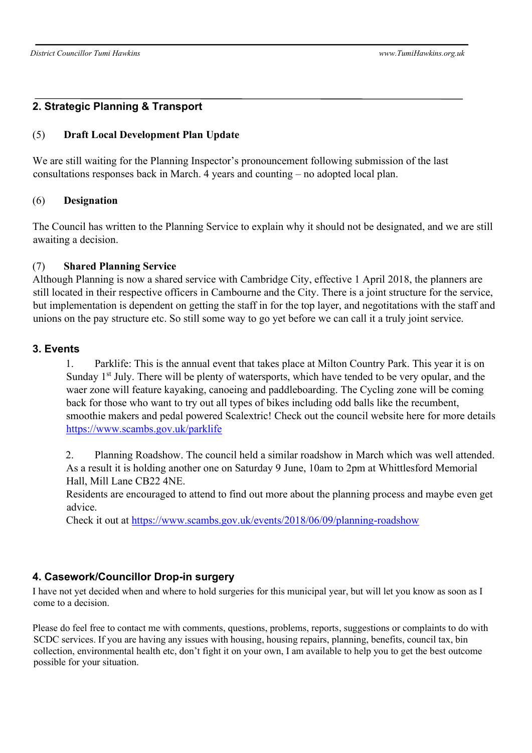# **2. Strategic Planning & Transport**

## (5) **Draft Local Development Plan Update**

We are still waiting for the Planning Inspector's pronouncement following submission of the last consultations responses back in March. 4 years and counting – no adopted local plan.

#### (6) **Designation**

The Council has written to the Planning Service to explain why it should not be designated, and we are still awaiting a decision.

## (7) **Shared Planning Service**

Although Planning is now a shared service with Cambridge City, effective 1 April 2018, the planners are still located in their respective officers in Cambourne and the City. There is a joint structure for the service, but implementation is dependent on getting the staff in for the top layer, and negotitations with the staff and unions on the pay structure etc. So still some way to go yet before we can call it a truly joint service.

## **3. Events**

1. Parklife: This is the annual event that takes place at Milton Country Park. This year it is on Sunday  $1<sup>st</sup>$  July. There will be plenty of watersports, which have tended to be very opular, and the waer zone will feature kayaking, canoeing and paddleboarding. The Cycling zone will be coming back for those who want to try out all types of bikes including odd balls like the recumbent, smoothie makers and pedal powered Scalextric! Check out the council website here for more details https://www.scambs.gov.uk/parklife

2. Planning Roadshow. The council held a similar roadshow in March which was well attended. As a result it is holding another one on Saturday 9 June, 10am to 2pm at Whittlesford Memorial Hall, Mill Lane CB22 4NE.

Residents are encouraged to attend to find out more about the planning process and maybe even get advice.

Check it out at https://www.scambs.gov.uk/events/2018/06/09/planning-roadshow

# **4. Casework/Councillor Drop-in surgery**

I have not yet decided when and where to hold surgeries for this municipal year, but will let you know as soon as I come to a decision.

Please do feel free to contact me with comments, questions, problems, reports, suggestions or complaints to do with SCDC services. If you are having any issues with housing, housing repairs, planning, benefits, council tax, bin collection, environmental health etc, don't fight it on your own, I am available to help you to get the best outcome possible for your situation.